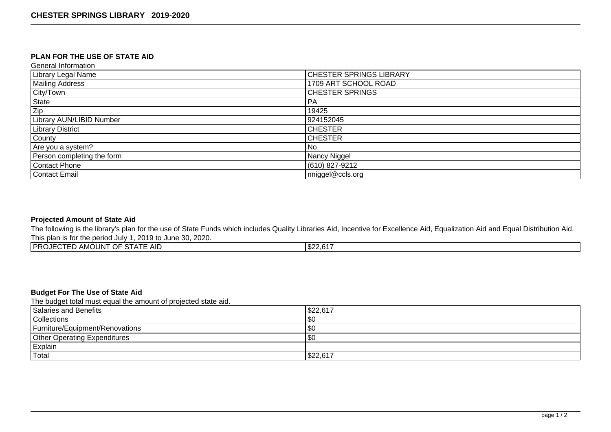## **PLAN FOR THE USE OF STATE AID**

General Information

| Library Legal Name              | <b>CHESTER SPRINGS LIBRARY</b> |
|---------------------------------|--------------------------------|
| Mailing Address                 | 1709 ART SCHOOL ROAD           |
| City/Town                       | <b>CHESTER SPRINGS</b>         |
| State                           | PA                             |
| Zip                             | 19425                          |
| <b>Library AUN/LIBID Number</b> | 924152045                      |
| <b>Library District</b>         | <b>CHESTER</b>                 |
| County                          | <b>CHESTER</b>                 |
| Are you a system?               | l No                           |
| Person completing the form      | Nancy Niggel                   |
| Contact Phone                   | (610) 827-9212                 |
| Contact Email                   | nniggel@ccls.org               |

## **Projected Amount of State Aid**

The following is the library's plan for the use of State Funds which includes Quality Libraries Aid, Incentive for Excellence Aid, Equalization Aid and Equal Distribution Aid. This plan is for the period July 1, 2019 to June 30, 2020.

| <b>PROJECTED AMOUNT OF STATE AID</b><br>$10000 - 1000$ |  |
|--------------------------------------------------------|--|
|--------------------------------------------------------|--|

# **Budget For The Use of State Aid**

The budget total must equal the amount of projected state aid.

| Salaries and Benefits               | \$22,617 |
|-------------------------------------|----------|
| Collections                         | \$0      |
| Furniture/Equipment/Renovations     | $ $ \$0  |
| <b>Other Operating Expenditures</b> | \$0      |
| Explain                             |          |
| Total                               | \$22,617 |